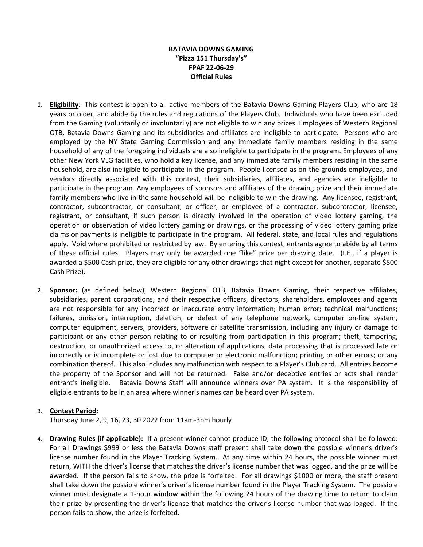## **BATAVIA DOWNS GAMING "Pizza 151 Thursday's" FPAF 22-06-29 Official Rules**

- 1. **Eligibility**: This contest is open to all active members of the Batavia Downs Gaming Players Club, who are 18 years or older, and abide by the rules and regulations of the Players Club. Individuals who have been excluded from the Gaming (voluntarily or involuntarily) are not eligible to win any prizes. Employees of Western Regional OTB, Batavia Downs Gaming and its subsidiaries and affiliates are ineligible to participate. Persons who are employed by the NY State Gaming Commission and any immediate family members residing in the same household of any of the foregoing individuals are also ineligible to participate in the program. Employees of any other New York VLG facilities, who hold a key license, and any immediate family members residing in the same household, are also ineligible to participate in the program. People licensed as on-the-grounds employees, and vendors directly associated with this contest, their subsidiaries, affiliates, and agencies are ineligible to participate in the program. Any employees of sponsors and affiliates of the drawing prize and their immediate family members who live in the same household will be ineligible to win the drawing. Any licensee, registrant, contractor, subcontractor, or consultant, or officer, or employee of a contractor, subcontractor, licensee, registrant, or consultant, if such person is directly involved in the operation of video lottery gaming, the operation or observation of video lottery gaming or drawings, or the processing of video lottery gaming prize claims or payments is ineligible to participate in the program. All federal, state, and local rules and regulations apply. Void where prohibited or restricted by law. By entering this contest, entrants agree to abide by all terms of these official rules. Players may only be awarded one "like" prize per drawing date. (I.E., if a player is awarded a \$500 Cash prize, they are eligible for any other drawings that night except for another, separate \$500 Cash Prize).
- 2. **Sponsor:** (as defined below), Western Regional OTB, Batavia Downs Gaming, their respective affiliates, subsidiaries, parent corporations, and their respective officers, directors, shareholders, employees and agents are not responsible for any incorrect or inaccurate entry information; human error; technical malfunctions; failures, omission, interruption, deletion, or defect of any telephone network, computer on-line system, computer equipment, servers, providers, software or satellite transmission, including any injury or damage to participant or any other person relating to or resulting from participation in this program; theft, tampering, destruction, or unauthorized access to, or alteration of applications, data processing that is processed late or incorrectly or is incomplete or lost due to computer or electronic malfunction; printing or other errors; or any combination thereof. This also includes any malfunction with respect to a Player's Club card. All entries become the property of the Sponsor and will not be returned. False and/or deceptive entries or acts shall render entrant's ineligible. Batavia Downs Staff will announce winners over PA system. It is the responsibility of eligible entrants to be in an area where winner's names can be heard over PA system.

## 3. **Contest Period:**

Thursday June 2, 9, 16, 23, 30 2022 from 11am-3pm hourly

4. **Drawing Rules (if applicable):** If a present winner cannot produce ID, the following protocol shall be followed: For all Drawings \$999 or less the Batavia Downs staff present shall take down the possible winner's driver's license number found in the Player Tracking System. At any time within 24 hours, the possible winner must return, WITH the driver's license that matches the driver's license number that was logged, and the prize will be awarded. If the person fails to show, the prize is forfeited. For all drawings \$1000 or more, the staff present shall take down the possible winner's driver's license number found in the Player Tracking System. The possible winner must designate a 1-hour window within the following 24 hours of the drawing time to return to claim their prize by presenting the driver's license that matches the driver's license number that was logged. If the person fails to show, the prize is forfeited.